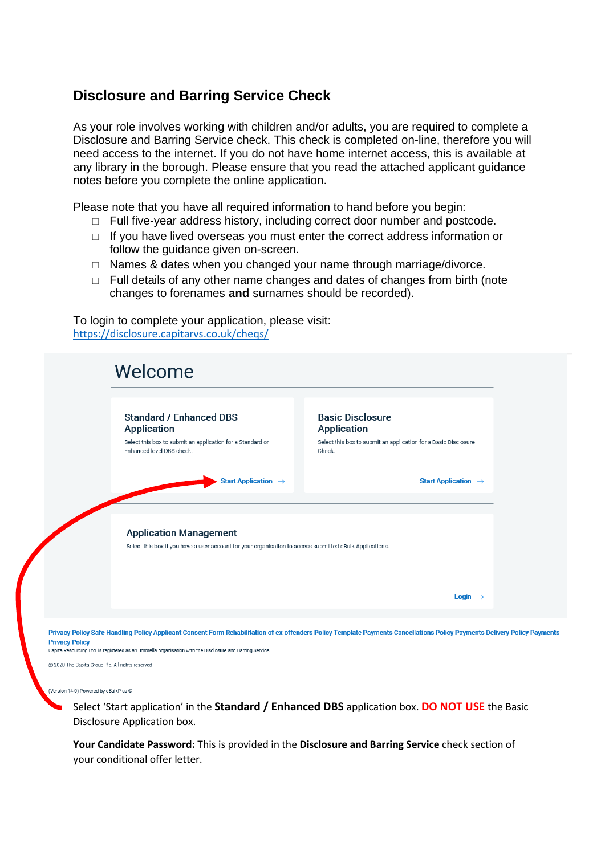## **Disclosure and Barring Service Check**

As your role involves working with children and/or adults, you are required to complete a Disclosure and Barring Service check. This check is completed on-line, therefore you will need access to the internet. If you do not have home internet access, this is available at any library in the borough. Please ensure that you read the attached applicant guidance notes before you complete the online application.

Please note that you have all required information to hand before you begin:

- $\Box$  Full five-year address history, including correct door number and postcode.
- $\Box$  If you have lived overseas you must enter the correct address information or follow the guidance given on-screen.
- $\Box$  Names & dates when you changed your name through marriage/divorce.
- $\Box$  Full details of any other name changes and dates of changes from birth (note changes to forenames **and** surnames should be recorded).

To login to complete your application, please visit: <https://disclosure.capitarvs.co.uk/cheqs/>



Privacy Policy Safe Handling Policy Applicant Consent Form Rehabilitation of ex-offenders Policy Template Payments Cancellations Policy Payments Delivery Policy Payments **Privacy Policy** Capita Resourcing Ltd. is registered as an umbrella organisation with the Disclosure and Barring Service

@ 2020 The Capita Group Plc. All rights reserved

(Version 14.0) Powered by eBulkPlus @

Select 'Start application' in the **Standard / Enhanced DBS** application box. **DO NOT USE** the Basic Disclosure Application box.

**Your Candidate Password:** This is provided in the **Disclosure and Barring Service** check section of your conditional offer letter.